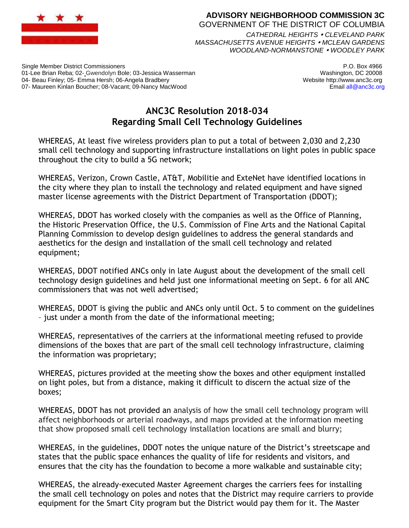

### **ADVISORY NEIGHBORHOOD COMMISSION 3C** GOVERNMENT OF THE DISTRICT OF COLUMBIA *CATHEDRAL HEIGHTS CLEVELAND PARK*

*MASSACHUSETTS AVENUE HEIGHTS MCLEAN GARDENS WOODLAND-NORMANSTONE WOODLEY PARK*

Single Member District Commissioners 01-Lee Brian Reba; 02- Gwendolyn Bole; 03-Jessica Wasserman 04- Beau Finley; 05- Emma Hersh; 06-Angela Bradbery 07- Maureen Kinlan Boucher; 08-Vacant; 09-Nancy MacWood

P.O. Box 4966 Washington, DC 20008 Website http://www.anc3c.org Email all@anc3c.org

# **ANC3C Resolution 2018-034 Regarding Small Cell Technology Guidelines**

WHEREAS, At least five wireless providers plan to put a total of between 2,030 and 2,230 small cell technology and supporting infrastructure installations on light poles in public space throughout the city to build a 5G network;

WHEREAS, Verizon, Crown Castle, AT&T, Mobilitie and ExteNet have identified locations in the city where they plan to install the technology and related equipment and have signed master license agreements with the District Department of Transportation (DDOT);

WHEREAS, DDOT has worked closely with the companies as well as the Office of Planning, the Historic Preservation Office, the U.S. Commission of Fine Arts and the National Capital Planning Commission to develop design guidelines to address the general standards and aesthetics for the design and installation of the small cell technology and related equipment;

WHEREAS, DDOT notified ANCs only in late August about the development of the small cell technology design guidelines and held just one informational meeting on Sept. 6 for all ANC commissioners that was not well advertised;

WHEREAS, DDOT is giving the public and ANCs only until Oct. 5 to comment on the guidelines – just under a month from the date of the informational meeting;

WHEREAS, representatives of the carriers at the informational meeting refused to provide dimensions of the boxes that are part of the small cell technology infrastructure, claiming the information was proprietary;

WHEREAS, pictures provided at the meeting show the boxes and other equipment installed on light poles, but from a distance, making it difficult to discern the actual size of the boxes;

WHEREAS, DDOT has not provided an analysis of how the small cell technology program will affect neighborhoods or arterial roadways, and maps provided at the information meeting that show proposed small cell technology installation locations are small and blurry;

WHEREAS, in the guidelines, DDOT notes the unique nature of the District's streetscape and states that the public space enhances the quality of life for residents and visitors, and ensures that the city has the foundation to become a more walkable and sustainable city;

WHEREAS, the already-executed Master Agreement charges the carriers fees for installing the small cell technology on poles and notes that the District may require carriers to provide equipment for the Smart City program but the District would pay them for it. The Master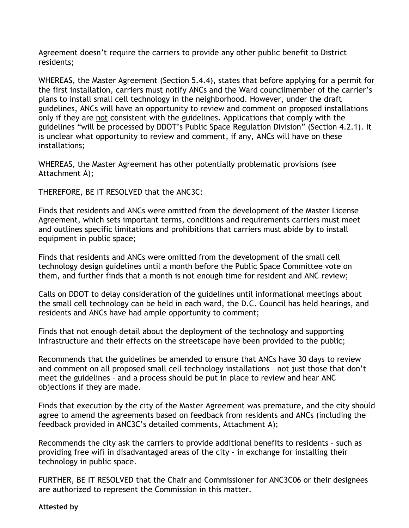Agreement doesn't require the carriers to provide any other public benefit to District residents;

WHEREAS, the Master Agreement (Section 5.4.4), states that before applying for a permit for the first installation, carriers must notify ANCs and the Ward councilmember of the carrier's plans to install small cell technology in the neighborhood. However, under the draft guidelines, ANCs will have an opportunity to review and comment on proposed installations only if they are not consistent with the guidelines. Applications that comply with the guidelines "will be processed by DDOT's Public Space Regulation Division" (Section 4.2.1). It is unclear what opportunity to review and comment, if any, ANCs will have on these installations;

WHEREAS, the Master Agreement has other potentially problematic provisions (see Attachment A);

THEREFORE, BE IT RESOLVED that the ANC3C:

Finds that residents and ANCs were omitted from the development of the Master License Agreement, which sets important terms, conditions and requirements carriers must meet and outlines specific limitations and prohibitions that carriers must abide by to install equipment in public space;

Finds that residents and ANCs were omitted from the development of the small cell technology design guidelines until a month before the Public Space Committee vote on them, and further finds that a month is not enough time for resident and ANC review;

Calls on DDOT to delay consideration of the guidelines until informational meetings about the small cell technology can be held in each ward, the D.C. Council has held hearings, and residents and ANCs have had ample opportunity to comment;

Finds that not enough detail about the deployment of the technology and supporting infrastructure and their effects on the streetscape have been provided to the public;

Recommends that the guidelines be amended to ensure that ANCs have 30 days to review and comment on all proposed small cell technology installations – not just those that don't meet the guidelines – and a process should be put in place to review and hear ANC objections if they are made.

Finds that execution by the city of the Master Agreement was premature, and the city should agree to amend the agreements based on feedback from residents and ANCs (including the feedback provided in ANC3C's detailed comments, Attachment A);

Recommends the city ask the carriers to provide additional benefits to residents – such as providing free wifi in disadvantaged areas of the city – in exchange for installing their technology in public space.

FURTHER, BE IT RESOLVED that the Chair and Commissioner for ANC3C06 or their designees are authorized to represent the Commission in this matter.

#### **Attested by**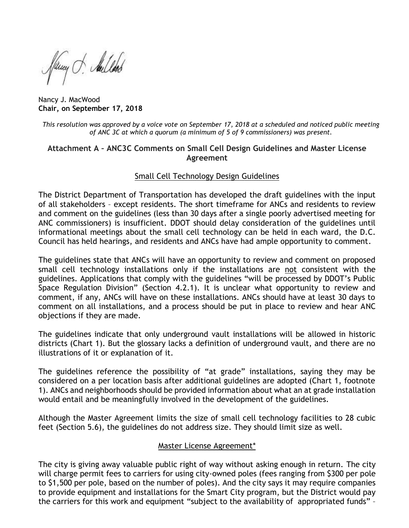fany . Sullet

Nancy J. MacWood **Chair, on September 17, 2018**

*This resolution was approved by a voice vote on September 17, 2018 at a scheduled and noticed public meeting of ANC 3C at which a quorum (a minimum of 5 of 9 commissioners) was present.*

### **Attachment A – ANC3C Comments on Small Cell Design Guidelines and Master License Agreement**

# Small Cell Technology Design Guidelines

The District Department of Transportation has developed the draft guidelines with the input of all stakeholders – except residents. The short timeframe for ANCs and residents to review and comment on the guidelines (less than 30 days after a single poorly advertised meeting for ANC commissioners) is insufficient. DDOT should delay consideration of the guidelines until informational meetings about the small cell technology can be held in each ward, the D.C. Council has held hearings, and residents and ANCs have had ample opportunity to comment.

The guidelines state that ANCs will have an opportunity to review and comment on proposed small cell technology installations only if the installations are not consistent with the guidelines. Applications that comply with the guidelines "will be processed by DDOT's Public Space Regulation Division" (Section 4.2.1). It is unclear what opportunity to review and comment, if any, ANCs will have on these installations. ANCs should have at least 30 days to comment on all installations, and a process should be put in place to review and hear ANC objections if they are made.

The guidelines indicate that only underground vault installations will be allowed in historic districts (Chart 1). But the glossary lacks a definition of underground vault, and there are no illustrations of it or explanation of it.

The guidelines reference the possibility of "at grade" installations, saying they may be considered on a per location basis after additional guidelines are adopted (Chart 1, footnote 1). ANCs and neighborhoods should be provided information about what an at grade installation would entail and be meaningfully involved in the development of the guidelines.

Although the Master Agreement limits the size of small cell technology facilities to 28 cubic feet (Section 5.6), the guidelines do not address size. They should limit size as well.

# Master License Agreement\*

The city is giving away valuable public right of way without asking enough in return. The city will charge permit fees to carriers for using city-owned poles (fees ranging from \$300 per pole to \$1,500 per pole, based on the number of poles). And the city says it may require companies to provide equipment and installations for the Smart City program, but the District would pay the carriers for this work and equipment "subject to the availability of appropriated funds" –